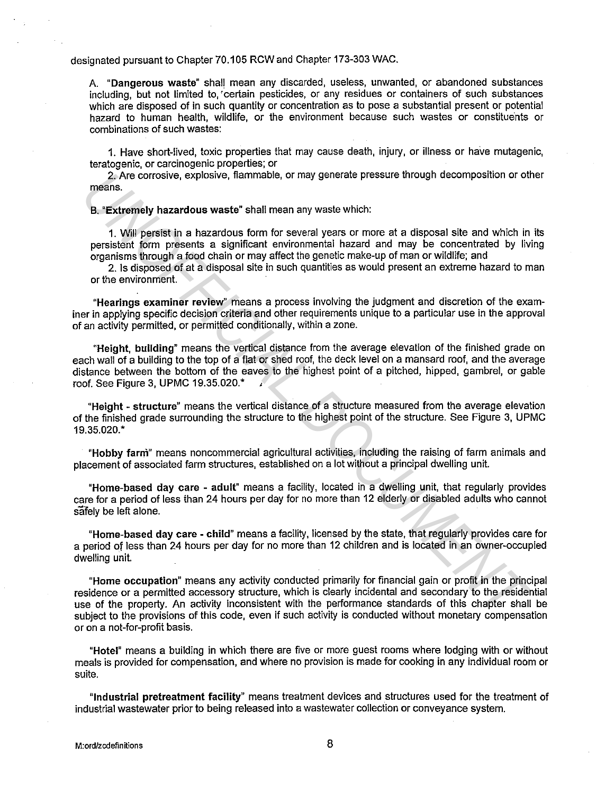designated pursuant to Chapter 70.105 RCW and Chapter 173-303 WAC.

A. "Dangerous waste" shall mean any discarded, useless, unwanted, or abandoned substances including, but not limited to, 'certain pesticides, or any residues or containers of such substances which are disposed of in such quantity or concentration as to pose a substantial present or potential hazard to human health, wildlife, or the environment because such wastes or constituents or combinations of such wastes:

1. Have short-lived, toxic properties that may cause death, injury, or illness or have mutagenic, teratogenic, or carcinogenic properties; or

2. Are corrosive, explosive, flammable, or may generate pressure through decomposition or other means.

B. "Extremely hazardous waste" shall mean any waste which:

1. Will persist in a hazardous form for several years or more at a disposal site and which in its persistent form presents a significant environmental hazard and may be concentrated by living organisms through a food chain or may affect the genetic make-up of man or wildlife; and

2. Is disposed of at a disposal site in such quantities as would present an extreme hazard to man or the environment.

"Hearings examiner review" means a process involving the judgment and discretion of the examiner in applying specific decision criteria and other requirements unique to a particular use in the approval of an activity permitted, or permitted conditionally, within a zone.

"Height, building" means the vertical distance from the average elevation of the finished grade on each wall of a building to the top of a flat or shed roof, the deck level on a mansard roof, and the average distance between the bottom of the eaves to the highest point of a pitched, hipped, gambrel, or gable roof. See Figure 3, UPMC 19.35.020.\* 2. Are corrosive, explosive, flammable, or may generate pressure through decomposition or diameters.<br> **B.** "Extremely hazardous waste" shall mean any waste which:<br> **1.** Will persist in a hazardous form for several years or

"Height - structure" means the vertical distance of a structure measured from the average elevation of the finished grade surrounding the structure to the highest point of the structure. See Figure 3, UPMC 19.35.020.\*

"Hobby farni" means noncommercial agricultural activities, including the raising of farm animals and placement of associated farm structures, established on a lot without a principal dwelling unit.

"Home-based day care - adult" means a facility, located in a dwelling unit, that regularly provides care for a period of less than 24 hours per day for no more than 12 elderly or disabled adults who cannot safely be left alone.

"Home-based day care - child" means a facility, licensed by the state, that regularly provides care for a period of less than 24 hours per day for no more than 12 children and is located in an owner-occupied dwelling unit.

"Home occupation" means any activity conducted primarily for financial gain or profit in the principal residence or a permitted accessory structure, which is clearly incidental and secondary to the residential use of the property. An activity inconsistent with the performance standards of this chapter shall be subject to the provisions of this code, even if such activity is conducted without monetary compensation or on a not-for-profit basis.

"Hotel" means a building in which there are five or more guest rooms where lodging with or without meals is provided for compensation, and where no provision is made for cooking in any individual room or suite.

"Industrial pretreatment facility" means treatment devices and structures used for the treatment of industrial wastewater prior to being released into a wastewater collection or conveyance system.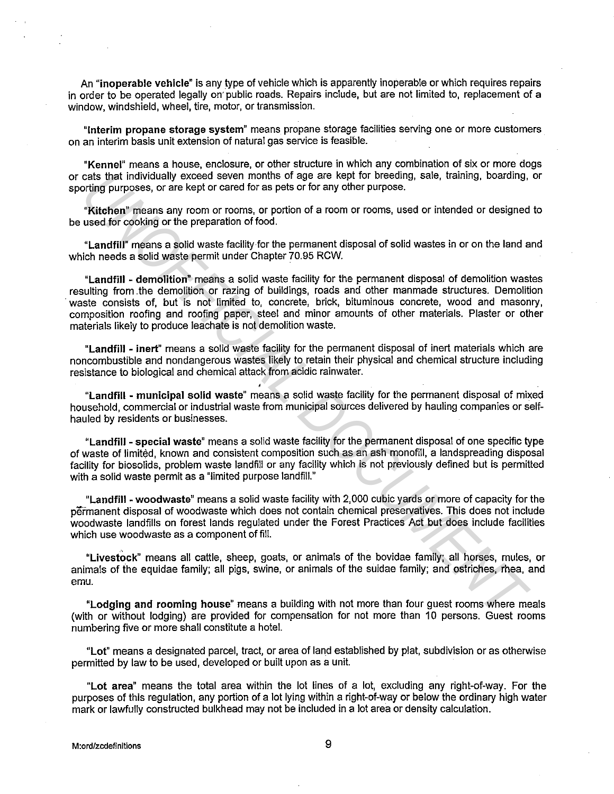An **"inoperable vehicle"** is any type of vehicle which is apparently inoperable or which requires repairs in order to be operated legally on· public roads. Repairs include, but are not limited to, replacement of a window, windshield, wheel, tire, motor, or transmission.

**"Interim propane storage system"** means propane storage facilities serving one or more customers on an interim basis unit extension of natural gas service is feasible.

**"Kennel"** means a house, enclosure, or other structure in which any combination of six or more dogs or cats that individually exceed seven months of age are kept for breeding, sale, training, boarding, or sporting purposes, or are kept or cared for as pets or for any other purpose.

**"Kitchen"** means any room or rooms, or portion of a room or rooms, used or intended or designed to be used for cooking or the preparation of food.

**"Landfill"** means a solid waste facility for the permanent disposal of solid wastes in or on the land and which needs a solid waste permit under Chapter 70.95 RCW.

**"Landfill - demolition"** means a solid waste facility for the permanent disposal of demolition wastes resulting from .the demolition or razing of buildings, roads and other manmade structures. Demolition waste consists of, but is not limited to, concrete, brick, bituminous concrete, wood and masonry, composition roofing and roofing paper, steel and minor amounts of other materials. Plaster or other materials likely to produce leachate is not demolition waste. cast that individually exceed seven months of age are kept for breeding, sale, training, boarding,<br>orting purposes, or are kept or cared for as pats or for any other purpose.<br>"**Kitchen'** "means any room or rooms, or potton

**"Landfill - inert"** means a solid waste facility for the permanent disposal of inert materials which are noncombustible and nondangerous wastes likely to retain their physical and chemical structure including resistance to biological and chemical attack from acidic rainwater.

**"Landfill - municipal solid waste"** means a solid waste facility for the permanent disposal of mixed household, commercial or industrial waste from municipal sources delivered by hauling companies or selfhauled by residents or businesses.

**"Landfill - special waste"** means a solid waste facility for the permanent disposal of one specific type of waste of limited, known and consistent composition such as an ash monofill, a landspreading disposal facility for biosolids, problem waste landfill or any facility which is not previously defined but is permitted with a solid waste permit as a "limited purpose landfill."

**"Landfill - woodwaste"** means a solid waste facility with 2,000 cubic yards or more of capacity for the permanent disposal of woodwaste which does not contain chemical preservatives. This does not include woodwaste landfills on forest lands regulated under the Forest Practices Act but does include facilities which use woodwaste as a component of fill.

**"Livestock"** means all cattle, sheep, goats, or animals of the bovidae family; all horses, mules, or animals of the equidae family; all pigs, swine, or animals of the suidae family; and ostriches, rhea, and emu.

**"Lodging and rooming house"** means a building with not more than four guest rooms where meals (with or without lodging) are provided for compensation for not more than 10 persons. Guest rooms numbering five or more shall constitute a hotel.

**"Lot"** means a designated parcel, tract, or area of land established by plat, subdivision or as otherwise permitted by law to be used, developed or built upon as a unit.

**"Lot area"** means the total area within the lot lines of a lot, excluding any right-of-way. For the purposes of this regulation, any portion of a lot lying within a right-of-way or below the ordinary high water mark or lawfully constructed bulkhead may not be included in a lot area or density calculation.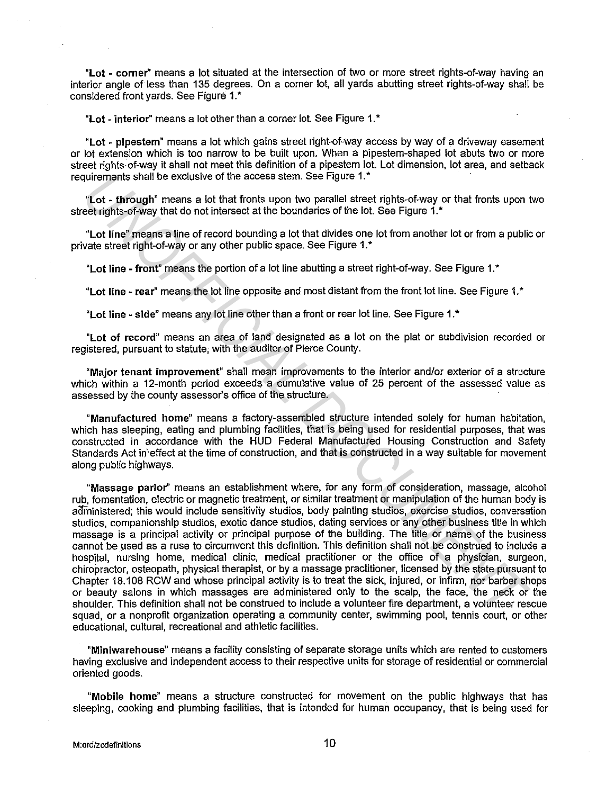"Lot - corner" means a lot situated at the intersection of two or more street rights-of-way having an interior angle of less than 135 degrees. On a corner lot, all yards abutting street rights-of-way shall be considered front vards. See Figure 1.\*

"Lot - interior" means a lot other than a corner lot. See Figure 1.\*

"Lot - pipestem" means a lot which gains street right-of-way access by way of a driveway easement or lot extension which is too narrow to be built upon. When a pipestem-shaped lot abuts two or more street rights-of-way it shall not meet this definition of a pipestem lot. Lot dimension, lot area, and setback requirements shall be exclusive of the access stem. See Figure 1.\*

"Lot - through" means a lot that fronts upon two parallel street rights-of-way or that fronts upon two street rights-of-way that do not intersect at the boundaries of the lot. See Figure 1.\*

"Lot line" means a line of record bounding a lot that divides one lot from another lot or from a public or private street right-of-way or any other public space. See Figure 1.\*

"Lot line - front" means the portion of a lot line abutting a street right-of-way. See Figure 1. •

"Lot line - rear" means the lot line opposite and most distant from the front lot line. See Figure 1.\*

"Lot line - side" means any lot line other than a front or rear lot line. See Figure 1.\*

"Lot of record" means an area of land designated as a lot on the plat or subdivision recorded or registered, pursuant to statute, with the auditor of Pierce County.

"Major tenant improvement" shall mean improvements to the interior and/or exterior of a structure which within a 12-month period exceeds a cumulative value of 25 percent of the assessed value as assessed by the county assessor's office of the structure.

"Manufactured home" means a factory-assembled structure intended solely for human habitation, which has sleeping, eating and plumbing facilities, that is being used for residential purposes, that was constructed in accordance with the HUD Federal Manufactured Housing Construction and Safety Standards Act in'effect at the time of construction, and that is constructed in a way suitable for movement along public highways.

"Massage parlor'' means an establishment where, for any form of consideration, massage, alcohol rub, fomentation, electric or magnetic treatment, or similar treatment or manipulation of the human body is administered; this would include sensitivity studios, body painting studios, exercise studios, conversation studios, companionship studios, exotic dance studios, dating services or any other business title in which massage is a principal activity or principal purpose of the building. The title or name of the business cannot be µsed as a ruse to circumvent this definition. This definition shall not be construed to include a hospital, nursing home, medical clinic, medical practitioner or the office of a physician, surgeon, chiropractor, osteopath, physical therapist, or by a massage practitioner, licensed by the state pursuant to Chapter 18.108 RCW and whose principal activity is to treat the sick, injured, or infirm, nor barber shops or beauty salons in which massages are administered only to the scalp, the face, the neck or the shoulder. This definition shall not be construed to include a volunteer fire department, a volunteer rescue squad, or a nonprofit organization operating a community center, swimming pool, tennis court, or other educational, cultural, recreational and athletic facilities. pulrements shall be exclusive of the access stem. See Figure 1."<br> **Lot** through<sup>e</sup> means a lot that forms upon two parallel steet rights-of-way or that fronts upon the tect this technique of the tect in this combing a lot

"Miniwarehouse" means a facility consisting of separate storage units which are rented to customers having exclusive and independent access to their respective units for storage of residential or commercial oriented goods.

"Mobile home" means a structure constructed for movement on the public highways that has sleeping, cooking and plumbing facilities, that is intended for human occupancy, that is being used for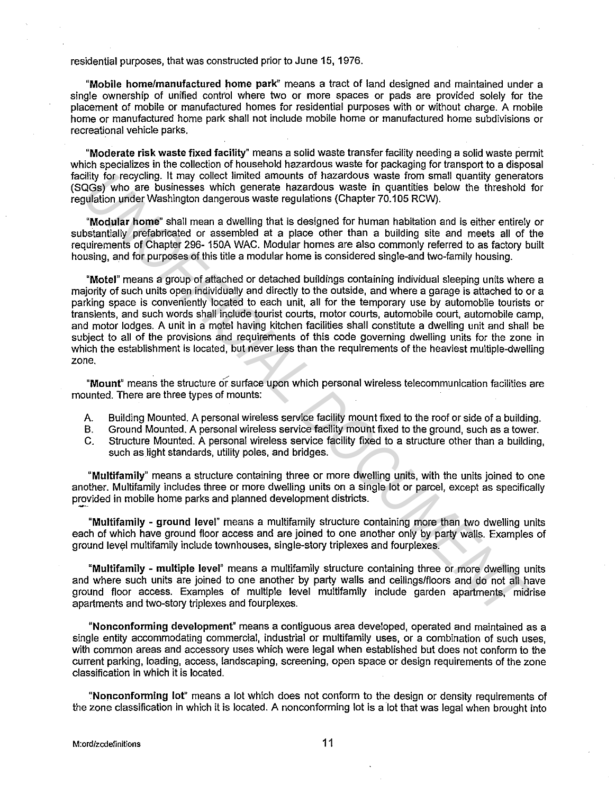## residential purposes, that was constructed prior to June 15, 1976.

"Mobile home/manufactured home park" means a tract of land designed and maintained under a single ownership of unified control where two or more spaces or pads are provided solely for the placement of mobile or manufactured homes for residential purposes with or without charge. A mobile home or manufactured home park shall not include mobile home or manufactured home subdivisions or recreational vehicle parks.

"Moderate risk waste fixed facility" means a solid waste transfer facility needing a solid waste permit which specializes in the collection of household hazardous waste for packaging for transport to a disposal facility for recycling. It may collect limited amounts of hazardous waste from small quantity generators (SQGs) who. are businesses which generate hazardous waste in quantities below the threshold for regulation under Washington dangerous waste regulations (Chapter 70.105 RCW).

"Modular home" shall mean a dwelling that is designed for human habitation and is either entirely or substantially prefabricated or assembled at a place other than a building site and meets all of the requirements of Chapter 296- 150A WAC. Modular homes are also commonly referred to as factory built housing, and for purposes of this title a modular home is considered single-and two-family housing.

"Motel" means a group of attached or detached buildings containing individual sleeping units where a majority of such units open individually and directly to the outside, and where a garage is attached to or a parking space is conveniently located to each unit, all for the temporary use by automobile tourists or transients, and such words shall include tourist courts, motor courts, automobile court, automobile camp, and motor lodges. A unit in a motel having kitchen facilities shall constitute a dwelling unit and shall be subject to all of the provisions and requirements of this code governing dwelling units for the zone in which the establishment is located, but never less than the requirements of the heaviest multiple-dwelling zone. bility for recycling. It may collect limited amounts of hazardous waste from small quantity generation unider Weshington dargenous waster for a counter splot and the person and the person of the collect published published

.... "Mount" means the structure or surface upon which personal wireless telecommunication facilities are mounted. There are three types of mounts:

- A. Building Mounted. A personal wireless service facility mount fixed to the roof or side of a building.
- B. Ground Mounted. A personal wireless service facility mount fixed to the ground, such as a tower.
- C. Structure Mounted. A personal wireless service facility fixed to a structure other than a building, such as light standards, utility poles, and bridges.

"Multifamily" means a structure containing three or more dwelling units, with the units joined to one another. Multifamily includes three or more dwelling units on a single lot or parcel, except as specifically provided in mobile home parks and planned development districts.

"Multifamily - ground level" means a multifamily structure containing more than two dwelling units each of which have ground floor access and are joined to one another only by party walls. Examples of ground level multifamily include townhouses, single-story triplexes and fourplexes.

"Multifamily - multiple level" means a multifamily structure containing three or more dwelling units and where such units are joined to one another by party walls and ceilings/fioors and do not all have ground floor access. Examples of multiple level multifamily include garden apartments, midrise apartments and two-story triplexes and fourplexes.

"Nonconforming development" means a contiguous area developed, operated and maintained as a single entity accommodating commercial, industrial or multifamily uses, or a combination of such uses, with common areas and accessory uses which were legal when established but does not conform to the current parking, loading, access, landscaping, screening, open space or design requirements of the zone classification in which it is located.

"Nonconforming lot" means a lot which does not conform to the design or density requirements of the zone classification in which it is located. A nonconforming lot is a lot that was legal when brought into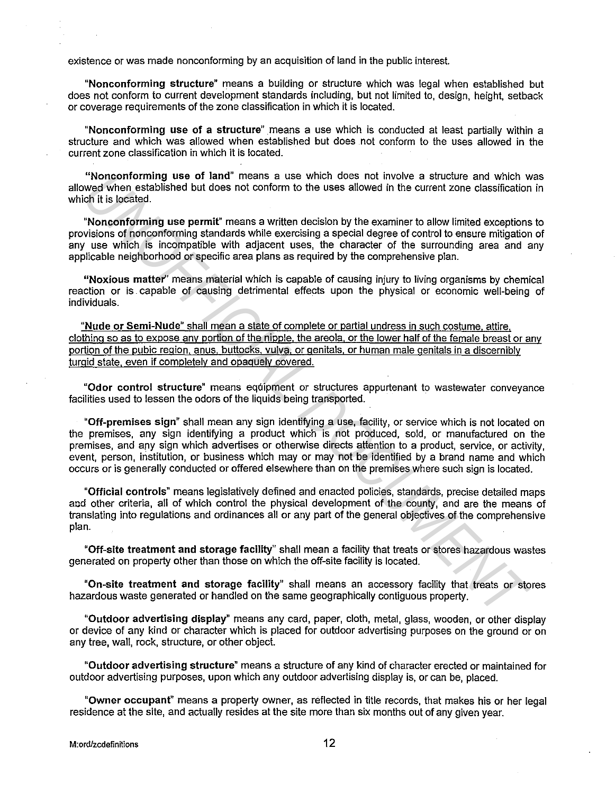existence or was made nonconforming by an acquisition of land in the public interest.

**"Nonconforming structure"** means a building or structure which was legal when established but does not conform to current development standards including, but not limited to, design, height, setback or coverage requirements of the zone classification in which it is located.

**"Nonconforming use of a structure"** means a use which is conducted at least partially within a structure and which was allowed when established but does not conform to the uses allowed in the current zone classification in which it is located.

**"Nonconforming use of land"** means a use which does not involve a structure and which was allowed when established but does not conform to the uses allowed in the current zone classification in which it is located.

**"Nonconforming use permit"** means a written decision by the examiner to allow limited exceptions to provisions of nonconforming standards while exercising a special degree of control to ensure mitigation of any use which is incompatible with adjacent uses, the character of the surrounding area and any applicable neighborhood or specific area plans as required by the comprehensive plan.

**"Noxious matter"** means material which is capable of causing injury to living organisms by chemical reaction or is . capable of causing detrimental effects upon the physical or economic well-being of individuals.

**"Nude or Semi-Nude"** shall mean a state of complete or partial undress in such costume, attire, clothing so as to expose any portion of the nipple. the areola, or the lower half of the female breast or any portion of the pubic region, anus, buttocks, vulva, or genitals, or human male genitals in a discernibly turgid state, even if completely and opaquely covered.

"Odor control structure" means equipment or structures appurtenant to wastewater conveyance facilities used to lessen the odors of the liquids being transported.

**"Off-premises sign"** shall mean any sign identifying a use, facility, or service which is not located on the premises, any sign identifying a product which is not produced, sold, or manufactured on the premises, and apy sign which advertises or otherwise directs attention to a product, service, or activity, event, person, institution, or business which may or may not be identified by a brand name and which occurs or is generally conducted or offered elsewhere than on the premises where such sign is located. **Thomonoforming use of land "means a use which does not involve a structure and which we<br>
wed when established but does not conform to the uses allowed in the current zone dassification<br>
of it is located.<br>
Youconforming us** 

**"Official controls"** means legislatively defined and enacted policies, standards, precise detailed maps aod other criteria, all of which control the physical development of the county, and are the means of translating into regulations and ordinances all or any part of the general objectives of the comprehensive plan.

**"Off-site treatment and storage facility"** shall mean a facility that treats or stores hazardous wastes generated on property other than those on which the off-site facility is located.

**"On-site treatment and storage facility"** shall means an accessory facility that treats or stores hazardous waste generated or handled on the same geographically contiguous property.

**"Outdoor advertising display"** means any card, paper, cloth, metal, glass, wooden, or other display or device of any kind or character which is placed for outdoor advertising purposes on the ground or on any tree, wall, rock, structure, or other object.

**"Outdoor advertising structure"** means a structure of any kind of character erected or maintained for outdoor advertising purposes, upon which any outdoor advertising display is, or can be, placed.

**"Owner occupant"** means a property owner, as reflected in title records, that makes his or her legal residence at the site, and actually resides at the site more than six months out of any given year.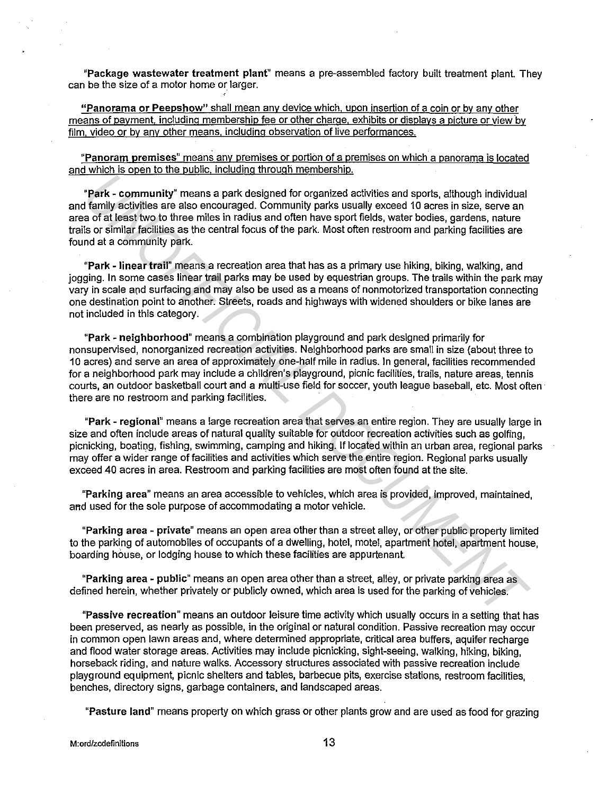**"Package wastewater treatment plant"** means a pre-assembled factory built treatment plant. They can be the size of a motor home or larger.

**"Panorama or Peepshow"** shall mean any device which. upon insertion of a coin or by any other means of payment. including membership fee or other charge. exhibits or displays a picture or view by film. video or by any other means. including observation of live performances.

**"Panoram premises"** means any premises or portion of a premises on which a panorama is located and which is open to the public. including through membership.

**"Park - community"** means a park designed for organized activities and sports, although individual and family activities are also encouraged. Community parks usually exceed 10 acres in size, serve an area of at least two to three miles in radius and often have sport fields, water bodies, gardens, nature trails or similar facilities as the central focus of the park. Most often restroom and parking facilities are found at a community park.

**"Park - linear trail"** means a recreation area that has as a primary use hiking, biking, walking, and jogging. In some cases linear trail parks may be used by equestrian groups. The trails within the park may vary in scale and surfacing and may also be used as a means of nonmotorized transportation connecting one destination point to another. Streets, roads and highways with widened shoulders or bike lanes are not included in this category.

**"Park - neighborhood"** means a combination playground and park designed primarily for nonsupervised, nonorganized recreation activities. Neighborhood parks are small in size (about three to 10 acres) and serve an area of approximately one-half mile in radius. In general, facilities recommended for a neighborhood park may include a children's playground, picnic facilities, trails, nature areas, tennis courts, an outdoor basketball court and a multi-use field for soccer, youth league baseball, etc. Most often there are no restroom and parking facilities. **Park - community**" means a park designed for organized extivities and sports, ellinough individual family activities are also encouraged. Community parks usually excess 10 acres in size, serve an a of all peak in to three

**"Park - regional"** means a large recreation area that serves an entire region. They are usually large in size and often include areas of natural quality suitable for outdoor recreation activities such as golfing, picnicking, boating, fishing, swimming, camping and hiking. If located within an urban area, regional parks may offer a wider range of facilities and activities which serve the entire region. Regional parks usually exceed 40 acres in area. Restroom and parking facilities are most often found at the site.

**"Parking area"** means an area accessible to vehicles, which area is provided, improved, maintained, and used for the sole purpose of accommodating a motor vehicle.

**"Parking area - private"** means an open area other than a street alley, or other public property limited to the parking of automobiles of occupants of a dwelling, hotel, motel, apartment hotel, apartment house, boarding house, or lodging house to which these facilities are appurtenant.

**"Parking area - public"** means an open area other than a street, alley, or private parking area as defined herein, whether privately or publicly owned, which area is used for the parking of vehicles.

**"Passive recreation"** means an outdoor leisure time activity which usually occurs in a setting that has been preserved, as nearly as possible, in the original or natural condition. Passive recreation may occur in common open lawn areas and, where determined appropriate, critical area buffers, aquifer recharge and flood water storage areas. Activities may include picnicking, sight-seeing, walking, hiking, biking, horseback riding, and nature walks. Accessory structures associated with passive recreation include playground equipment, picnic shelters and tables, barbecue pits, exercise stations, restroom facilities, benches, directory signs, garbage containers, and landscaped areas.

**"Pasture land"** means property on which grass or other plants grow and are used as food for grazing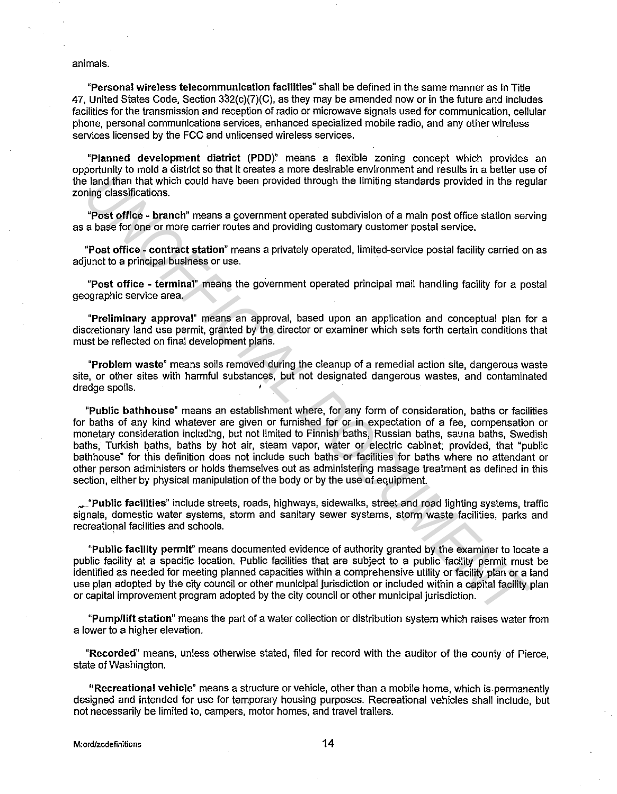#### animals.

**"Personal wireless telecommunication facilities"** shall be defined in the same manner as in Title 47, United States Code, Section 332(c)(7)(C), as they may be amended now or in the future and includes facilities for the transmission and reception of radio or microwave signals used for communication, cellular phone, personal communications services, enhanced specialized mobile radio, and any other wireless services licensed by the FCC and unlicensed wireless services.

**"Planned development district (POD)"** means a flexible zoning concept which provides an opportunity to mold a district so that it creates a more desirable environment and results in a better use of the land than that which could have been provided through the limiting standards provided in the regular zoning classifications.

**"Post office - branch"** means a government operated subdivision of a main post office station serving as a base for one or more carrier routes and providing customary customer postal service.

**"Post office - contract station"** means a privately operated, limited-service postal facility carried on as adjunct to a principal business or use.

**"Post office - terminal"** means the government operated principal mail handling facility for a postal geographic service area.

**"Preliminary approval"** means an approval, based upon an application and conceptual plan for a discretionary land use permit, granted by the director or examiner which sets forth certain conditions that must be reflected on final development plans.

**"Problem waste"** means soils removed during the cleanup of a remedial action site, dangerous waste site, or other sites with harmful substances, but not designated dangerous wastes, and contaminated dredge spoils.

**"Public bathhouse"** means an establishment where, for any form of consideration, baths or facilities for baths of any kind whatever are given or furnished for or in expectation of a fee, compensation or monetary consideration including, but not limited to Finnish baths, Russian baths, sauna baths, Swedish baths, Turkish baths, baths by hot air, steam vapor, water or electric cabinet; provided, that "public bathhouse" for this definition does not include such baths or facilities for baths where no attendant or other person administers or holds themselves out as administering massage treatment as defined in this section, either by physical manipulation of the body or by the use of equipment. is land than that which could have been provided through the limiting standards provided in the region of the controller and the response through the limiting standards provided in the region of the response of the control

~"Public **facilities"** include streets, roads, highways, sidewalks, street and road lighting systems, traffic signals, domestic water systems, storm and sanitary sewer systems, storm waste facilities, parks and recreational facilities and schools.

**"Public facility permit"** means documented evidence of authority granted by the examiner to locate a public facility at a specific location. Public facilities that are subject to a public facility permit must be identified as needed for meeting planned capacities within a comprehensive utility or facility plan or a land use plan adopted by the city council or other municipal jurisdiction or included within a capital facility plan or capital improvement program adopted by the city council or other municipal jurisdiction.

**"Pump/lift station"** means the part of a water collection or distribution system which raises water from a lower to a higher elevation.

**"Recorded"** means, unless otherwise stated, filed for record with the auditor of the county of Pierce, state of Washington.

**"Recreational vehicle"** means a structure or vehicle, other than a mobile home, which is permanently designed and intended for use for temporary housing purposes. Recreational vehicles shall include, but not necessarily be limited to, campers, motor homes, and travel trailers.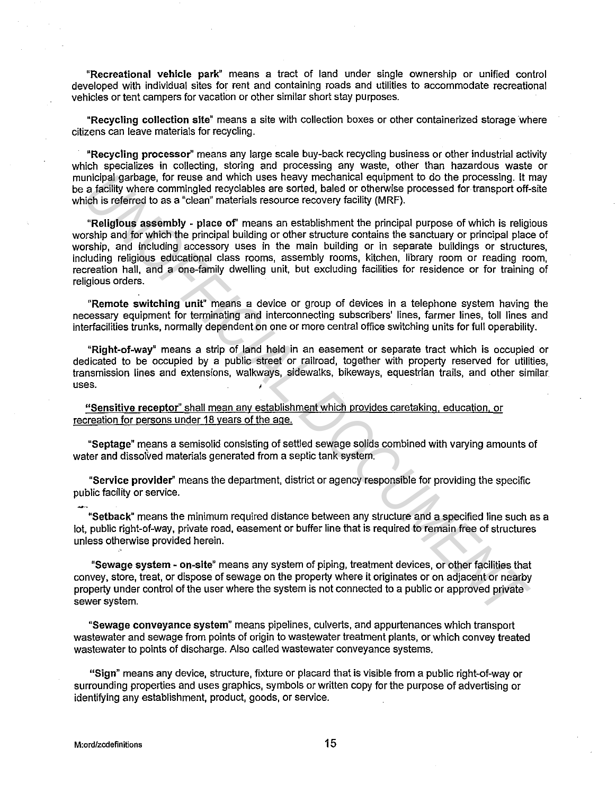**"Recreational vehicle park"** means a tract of land under single ownership or unified control developed with individual sites for rent and containing roads and utilities to accommodate recreational vehicles or tent campers for vacation or other similar short stay purposes.

**"Recycling collection site"** means a site with collection boxes or other containerized storage where citizens can leave materials for recycling.

**"Recycling processor''** means any large scale buy-back recycling business or other industrial activity which specializes in collecting, storing and processing any waste, other than hazardous waste or municipal garbage, for reuse and which uses heavy mechanical equipment to do the processing. It may be a facility where commingled recyclables are sorted, baled or otherwise processed for transport off-site which is referred to as a "clean" materials resource recovery facility (MRF).

**"Religious assembly - place of'** means an establishment the principal purpose of which is religious worship and for which the principal building or other structure contains the sanctuary or principal place of worship, and including accessory uses in the main building or in separate buildings or structures, including religious educational class rooms, assembly rooms, kitchen, library room or reading room, recreation hall, and a one-family dwelling unit, but excluding facilities for residence or for training of religious orders. unicipal gentage, for reuse and which uses heavy mechanical equipment to do the processing. It is raising through gentage, for reuse and which uses heavy mechanical equipment of-<br>ich is referred to as a "clean" materials r

**"Remote switching unit"** means a device or group of devices in a telephone system having the necessary equipment for terminating and interconnecting subscribers' lines, farmer lines, toll lines and interfacilities trunks, normally dependent on one or more central office switching units for full operability.

**"Right-of-way"** means a strip of land held in an easement or separate tract which is occupied or dedicated to be occupied by a public street or railroad, together with property reserved for utilities, transmission lines and extensions, walkways, sidewalks, bikeways, equestrian trails, and other similar uses.

**"Sensitive receptor''** shall mean any establishment which provides caretaking, education, or recreation for persons under 18 years of the age.

**"Septage"** means a semisolid consisting of settled sewage solids combined with varying amounts of water and dissolved materials generated from a septic tank system.

**"Service provider''** means the department, district or agency responsible for providing the specific public facility or service.

**"Setback"** means the minimum required distance between any structure and a specified line such as a lot, public right-of-way, private road, easement or buffer line that is required to remain free of structures unless otherwise provided herein.

**"Sewage system - on-site"** means any system of piping, treatment devices, or other facilities that convey, store, treat, or dispose of sewage on the property where it originates or on adjacent or nearby property under control of the user where the system is not connected to a public or approved private sewer system.

**"Sewage conveyance system"** means pipelines, culverts, and appurtenances which transport wastewater and sewage from points of origin to wastewater treatment plants, or which convey treated wastewater to points of discharge. Also called wastewater conveyance systems.

**"Sign"** means any device, structure, fixture or placard that is visible from a public right-of-way or surrounding properties and uses graphics, symbols or written copy for the purpose of advertising or identifying any establishment, product, goods, or service.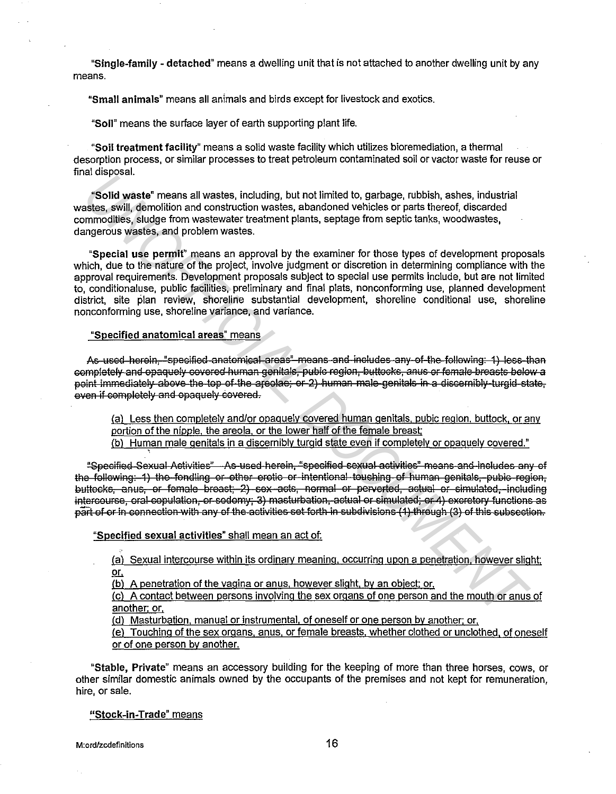"Single-family - detached" means a dwelling unit that is not attached to another dwelling unit by any means.

"Small animals" means all animals and birds except for livestock and exotics.

"Soil" means the surface laver of earth supporting plant life.

"Soil treatment facility" means a solid waste facility which utilizes bioremediation, a thermal desorption process, or similar processes to treat petroleum contaminated soil or vactor waste for reuse or final disposal.

"Solid waste" means all wastes, including, but not limited to, garbage, rubbish, ashes, industrial wastes, swill, demolition and construction wastes, abandoned vehicles or parts thereof, discarded commodities, sludge from wastewater treatment plants, septage from septic tanks, woodwastes, dangerous wastes, and problem wastes.

"Special use permit" means an approval by the examiner for those types of development proposals which, due to the nature of the project, involve judgment or discretion in determining compliance with the approval requirements. Development proposals subject to special use permits include, but are not limited to, conditionaluse, public facilities, preliminary and final plats, nonconforming use, planned development district, site plan review, shoreline substantial development, shoreline conditional use, shoreline nonconforming use, shoreline variance, and variance.

# "Specified anatomical areas" means

As used herein, "specified anatomical areas" means and includes any of the following: 1) less than completely and opaquely covered human genitals, pubic region, buttocks, anus or female breasts below a point immediately above the top of the areolae; or 2) human male genitals in a discernibly turgid state. even if completely and opaquely covered.

(a) Less then completely and/or opaquely covered human genitals, pubic region, buttock, or any portion of the nipple, the areola, or the lower half of the female breast;

(b) Human male genitals in a discernibly turgid state even if completely or opaquely covered."

"Specified Sexual Activities" As used herein, "specified sexual activities" means and includes any of the following: 1) the fondling or other erotic or intentional touching of human genitals, puble region, buttocks, anus, or female breast; 2) sex acts, normal or perverted, actual or simulated, including intercourse, oral copulation, or sodomy; 3) masturbation, actual or simulated; or 4) excretory functions as part of or in connection with any of the activities set forth in subdivisions (1) through (3) of this subsection.

## "Specified sexual activities" shall mean an act of:

(a) Sexual intercourse within its ordinary meaning, occurring upon a penetration, however slight;  $or$ 

(b) A penetration of the vagina or anus, however slight, by an object; or,

(c) A contact between persons involving the sex organs of one person and the mouth or anus of another; or,

(d) Masturbation, manual or instrumental, of oneself or one person by another; or,

(e) Touching of the sex organs, anus, or female breasts, whether clothed or unclothed, of oneself or of one person by another.

"Stable, Private" means an accessory building for the keeping of more than three horses, cows, or other similar domestic animals owned by the occupants of the premises and not kept for remuneration. hire, or sale.

## "Stock-in-Trade" means

M:ord/zcdefinitions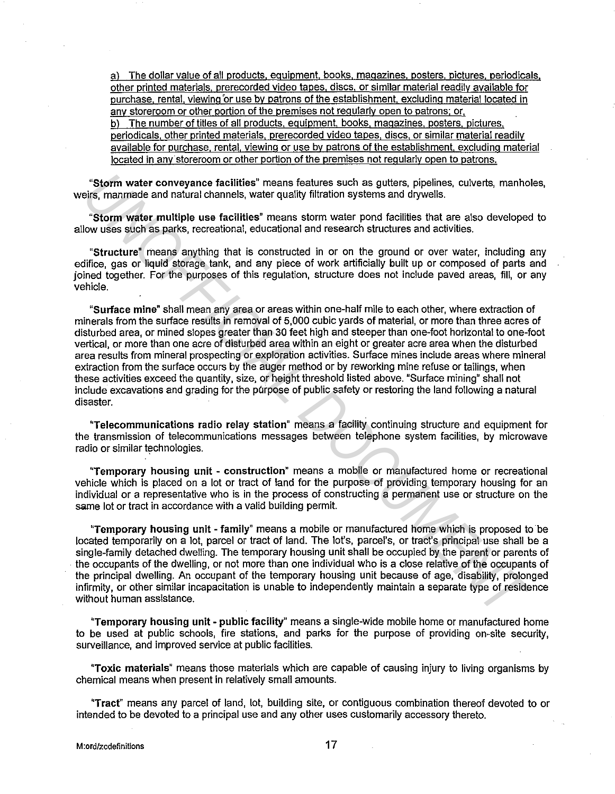al The dollar value of all products. equipment. books. magazines. posters. pictures. periodicals. other printed materials. prerecorded video tapes. discs. or similar material readily available for purchase. rental. viewing 'or use by patrons of the establishment. excluding material located in any storeroom or other portion of the premises not regularly open to patrons; or. b) The number of titles of all products, equipment, books, magazines, posters, pictures. periodicals. other printed materials. prerecorded video tapes. discs. or similar material readily available for purchase. rental, viewing or use by patrons of the establishment. excluding material located in any storeroom or other portion of the premises not regularly open to patrons.

"Storm water conveyance facilities" means features such as gutters, pipelines, culverts, manholes, weirs, manmade and natural channels, water quality filtration systems and drywells.

"Storm water multiple use facilities" means storm water pond facilities that are also developed to allow uses such as parks, recreational, educational and research structures and activities.

"Structure" means anything that is constructed in or on the ground or over water, including any edifice, gas or liquid storage tank, and any piece of work artificially built up or composed of parts and joined together. For the purposes of this regulation, structure does not include paved areas, fill, or any vehicle.

"Surface mine" shall mean any area or areas within one-half mile to each other, where extraction of minerals from the surface results in removal of 5,000 cubic yards of material, or more than three acres of disturbed area, or mined slopes greater than 30 feet high and steeper than one-foot horizontal to one-foot vertical, or more than one acre of disturbed area within an eight or greater acre area when the disturbed area results from mineral prospecting or exploration activities. Surface mines include areas where mineral extraction from the surface occurs by the auger method or by reworking mine refuse or tailings, when these activities exceed the quantity, size, or height threshold listed above. "Surface mining" shall not include excavations and grading for the purpose of public safety or restoring the land following a natural disaster. **Examminate and hallung hand states such as guttors, pipelines, culverts, manning is a manning in the intermediation of the intermediation and the search intermediation system is wellowed by the control of the control of t** 

"Telecommunications radio relay station" means a facility continuing structure and equipment for the transmission of telecommunications messages between telephone system facilities, by microwave radio or similar technologies.

"Temporary housing unit - construction" means a mobile or manufactured home or recreational vehicle which is placed on a lot or tract of land for the purpose of providing temporary housing for an individual or a representative who is in the process of constructing a permanent use or structure on the same lot or tract in accordance with a valid building permit.

"Temporary housing unit - family" means a mobile or manufactured home which is proposed to be located temporarily on a lot, parcel or tract of land. The lot's, parcel's, or tract's principal use shall be a single-family detached dwelling. The temporary housing unit shall be occupied by the parent or parents of the occupants of the dwelling, or not more than one individual who is a close relative of the occupants of the principal dwelling. An occupant of the temporary housing unit because of age, disability, prolonged infirmity, or other similar incapacitation is unable to independently maintain a separate type of residence without human assistance.

"Temporary housing unit - public facility" means a single-wide mobile home or manufactured home to be used at public schools, fire stations, and parks for the purpose of providing on-site security, surveillance, and improved service at public facilities.

"Toxic materials" means those materials which are capable of causing injury to living organisms by chemical means when present in relatively small amounts.

"Tract" means any parcel of land, lot, building site, or contiguous combination thereof devoted to or intended to be devoted to a principal use and any other uses customarily accessory thereto.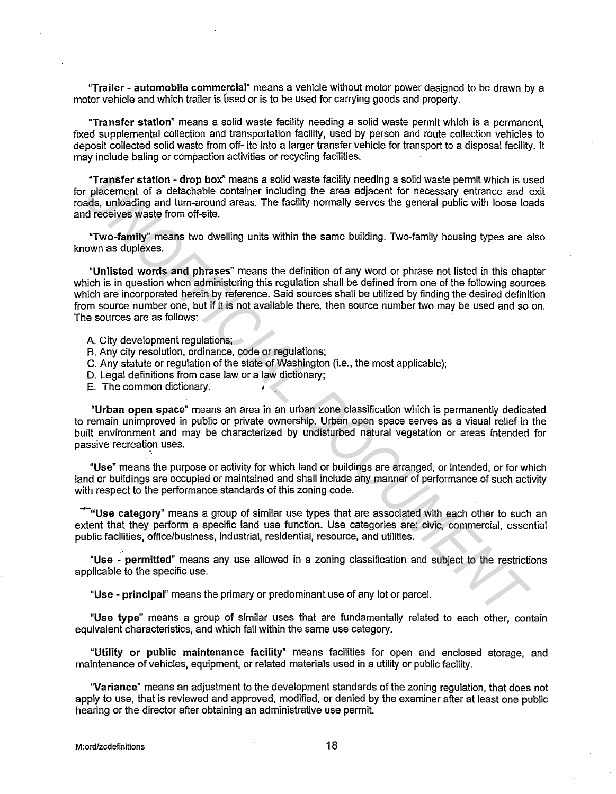"Trailer - automobile commercial" means a vehicle without motor power designed to be drawn by a motor vehicle and which trailer is used or is to be used for carrying goods and property.

"Transfer station" means a solid waste facility needing a solid waste permit which is a permanent, fixed supplemental collection and transportation facility, used by person and route collection vehicles to deposit collected solid waste from off- ite into a larger transfer vehicle for transport to a disposal facility. It may include baling or compaction activities or recycling facilities.

"Transfer station - drop box" means a solid waste facility needing a solid waste permit which is used for placement of a detachable container including the area adjacent for necessary entrance and exit roads, unloading and turn-around areas. The facility normally serves the general public with loose loads and receives waste from off-site.

"Two-family" means two dwelling units within the same building. Two-family housing types are also known as duplexes.

"Unlisted words and phrases" means the definition of any word or phrase not listed in this chapter which is in question when administering this regulation shall be defined from one of the following sources which are incorporated herein by reference. Said sources shall be utilized by finding the desired definition from source number one, but if it is not available there, then source number two may be used and so on. The sources are as follows: **Transfer station - drop box" means a** solid week facility heeding a solid waste permit which is used and turn-are placement of a detachable condiner including the area adjacent for necessary entremice and directed<br>ads, u

A. City development regulations;

- B. Any city resolution, ordinance, code or regulations;
- C. Any statute or regulation of the state of Washington (i.e., the most applicable);
- D. Legal definitions from case law or a law dictionary;

E. The common dictionary.

"Urban open space" means an area in an urban zone classification which is permanently dedicated to remain unimproved in public or private ownership. Urban open space serves as a visual relief in the built environment and may be characterized by undisturbed natural vegetation or areas intended for passive recreation uses.

"Use" means the purpose or activity for which land or buildings are arranged, or intended, or for which land or buildings are occupied or maintained and shall include any manner of performance of such activity with respect to the performance standards of this zoning code.

"-"Use category" means a group of similar use types that are associated with each other to such an extent that they perform a specific land use function. Use categories are: civic, commercial, essential public facilities, office/business, industrial, residential, resource, and utilities.

"Use - permitted" means any use allowed in a zoning classification and subject to the restrictions applicable to the specific use.

"Use - principal" means the primary or predominant use of any lot or parcel.

"Use type" means a group of similar uses that are fundamentally related to each other, contain equivalent characteristics, and which fall within the same use category.

"Utility or public maintenance facility" means facilities for open and enclosed storage, and maintenance of vehicles, equipment, or related materials used in a utility or public facility.

"Variance" means an adjustment to the development standards of the zoning regulation, that does not apply to use, that is reviewed and approved, modified, or denied by the examiner after at least one public hearing or the director after obtaining an administrative use permit.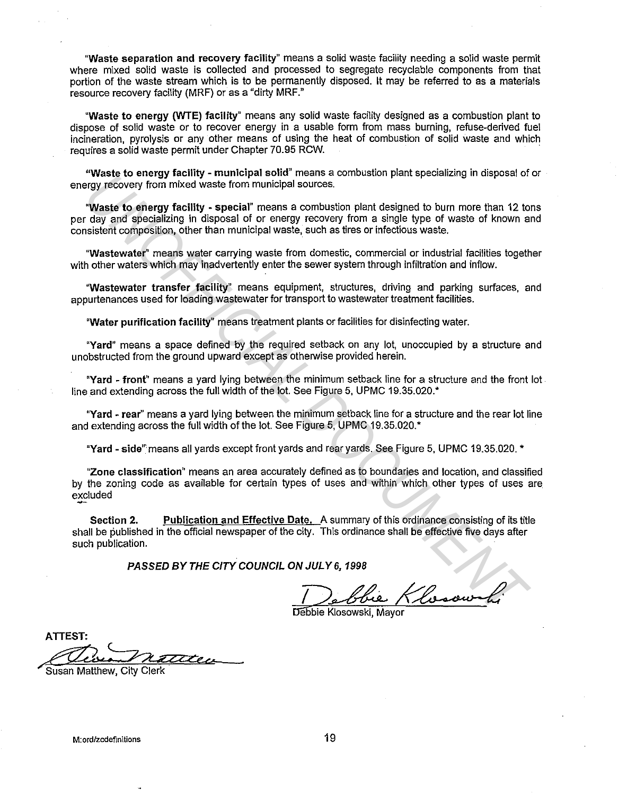"Waste separation and recovery facility" means a solid waste facility needing a solid waste permit where mixed solid waste is collected and processed to segregate recyclable components from that portion of the waste stream which is to be permanently disposed. It may be referred to as a materials resource recovery facility (MRF) or as a "dirty MRF."

"Waste to energy (WTE) facility" means any solid waste facility designed as a combustion plant to dispose of solid waste or to recover energy in a usable form from mass burning, refuse-derived fuel incineration, pyrolysis or any other means of using the heat of combustion of solid waste and which requires a solid waste permit under Chapter 70.95 RCW.

"Waste to energy facility - municipal solid" means a combustion plant specializing in disposal of or energy recovery from mixed waste from municipal sources.

"Waste to energy facility - special" means a combustion plant designed to burn more than 12 tons per day and specializing in disposal of or energy recovery from a single type of waste of known and consistent composition, other than municipal waste, such as tires or infectious waste.

"Wastewater" means water carrying waste from domestic, commercial or industrial facilities together with other waters which may inadvertently enter the sewer system through infiltration and inflow.

"Wastewater transfer facility" means equipment, structures, driving and parking surfaces, and appurtenances used for loading wastewater for transport to wastewater treatment facilities.

"Water purification facility" means treatment plants or facilities for disinfecting water.

"Yard" means a space defined by the required setback on any lot, unoccupied by a structure and unobstructed from the ground upward except as otherwise provided herein.

"Yard - front" means a yard lying between the minimum setback line for a structure and the front lot line and extending across the full width of the lot. See Figure 5, UPMC 19.35.020.\*

"Yard - rear" means a yard lying between the minimum setback line for a structure and the rear lot line and extending across the full width of the lot. See Figure 5, UPMC 19.35.020.\*

"Yard - side" means all yards except front yards and rear yards. See Figure 5, UPMC 19.35.020. \*

"Zone classification" means an area accurately defined as to boundaries and location, and classified by the zoning code as available for certain types of uses and within which other types of uses are excluded **The start of the right of the right of the right resolution is controlled to burn more than 12 to the start of the right of the right resolution is the right of the right of the right of the right of the right of the righ** 

Section 2. Publication and Effective Date. A summary of this ordinance consisting of its title shall be published in the official newspaper of the city. This ordinance shall be effective five days after such publication.

PASSED BY THE CITY COUNCIL ON JULY 6, 1998

JULY 6, 1998<br>De Chie Klosowolf<br>Ebbie Klosowski, Mayor

Debbie Klosowski, Mavor

ATTEST:  $7777$ e ..

Susan Matthew, City Clerk